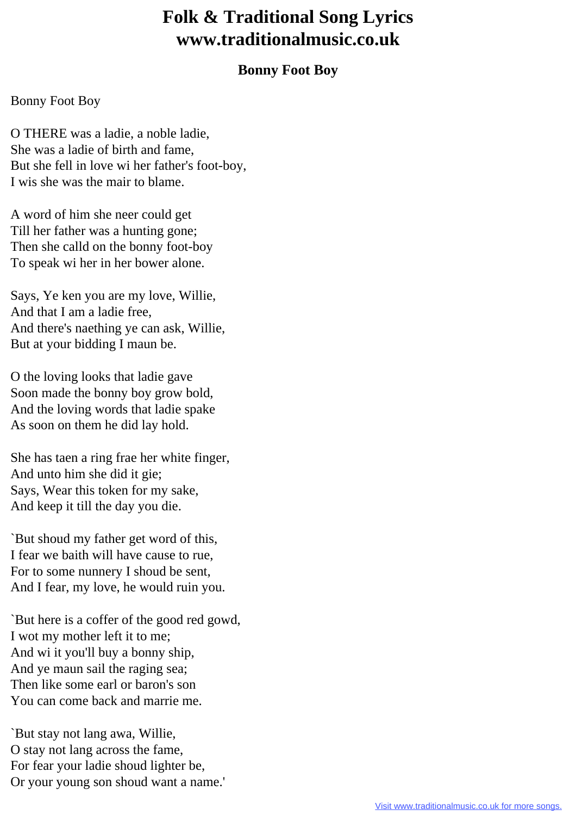## **Folk & Traditional Song Lyrics www.traditionalmusic.co.uk**

## **Bonny Foot Boy**

## Bonny Foot Boy

O THERE was a ladie, a noble ladie, She was a ladie of birth and fame, But she fell in love wi her father's foot-boy, I wis she was the mair to blame.

A word of him she neer could get Till her father was a hunting gone; Then she calld on the bonny foot-boy To speak wi her in her bower alone.

Says, Ye ken you are my love, Willie, And that I am a ladie free, And there's naething ye can ask, Willie, But at your bidding I maun be.

O the loving looks that ladie gave Soon made the bonny boy grow bold, And the loving words that ladie spake As soon on them he did lay hold.

She has taen a ring frae her white finger, And unto him she did it gie; Says, Wear this token for my sake, And keep it till the day you die.

`But shoud my father get word of this, I fear we baith will have cause to rue, For to some nunnery I shoud be sent, And I fear, my love, he would ruin you.

`But here is a coffer of the good red gowd, I wot my mother left it to me; And wi it you'll buy a bonny ship, And ye maun sail the raging sea; Then like some earl or baron's son You can come back and marrie me.

`But stay not lang awa, Willie, O stay not lang across the fame, For fear your ladie shoud lighter be, Or your young son shoud want a name.'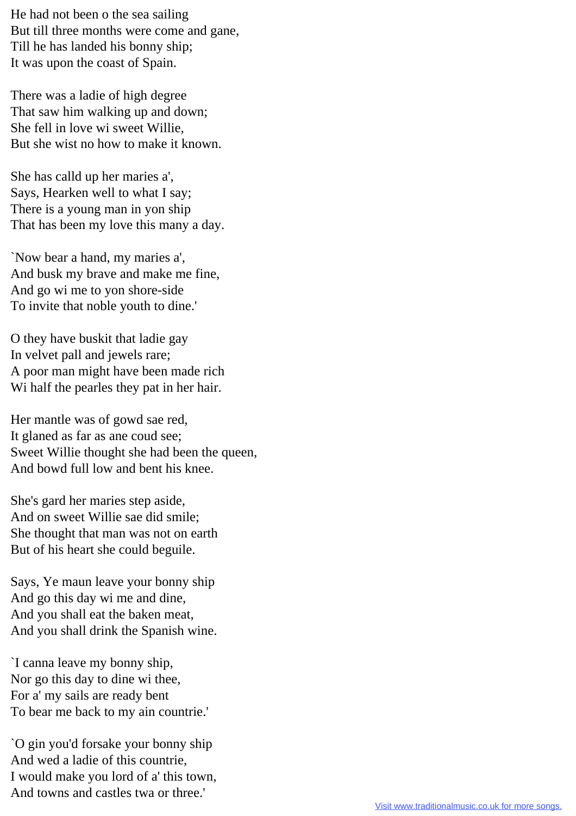He had not been o the sea sailing But till three months were come and gane, Till he has landed his bonny ship; It was upon the coast of Spain.

There was a ladie of high degree That saw him walking up and down; She fell in love wi sweet Willie, But she wist no how to make it known.

She has calld up her maries a', Says, Hearken well to what I say; There is a young man in yon ship That has been my love this many a day.

`Now bear a hand, my maries a', And busk my brave and make me fine, And go wi me to yon shore-side To invite that noble youth to dine.'

O they have buskit that ladie gay In velvet pall and jewels rare; A poor man might have been made rich Wi half the pearles they pat in her hair.

Her mantle was of gowd sae red, It glaned as far as ane coud see; Sweet Willie thought she had been the queen, And bowd full low and bent his knee.

She's gard her maries step aside, And on sweet Willie sae did smile; She thought that man was not on earth But of his heart she could beguile.

Says, Ye maun leave your bonny ship And go this day wi me and dine, And you shall eat the baken meat, And you shall drink the Spanish wine.

`I canna leave my bonny ship, Nor go this day to dine wi thee, For a' my sails are ready bent To bear me back to my ain countrie.'

`O gin you'd forsake your bonny ship And wed a ladie of this countrie, I would make you lord of a' this town, And towns and castles twa or three.'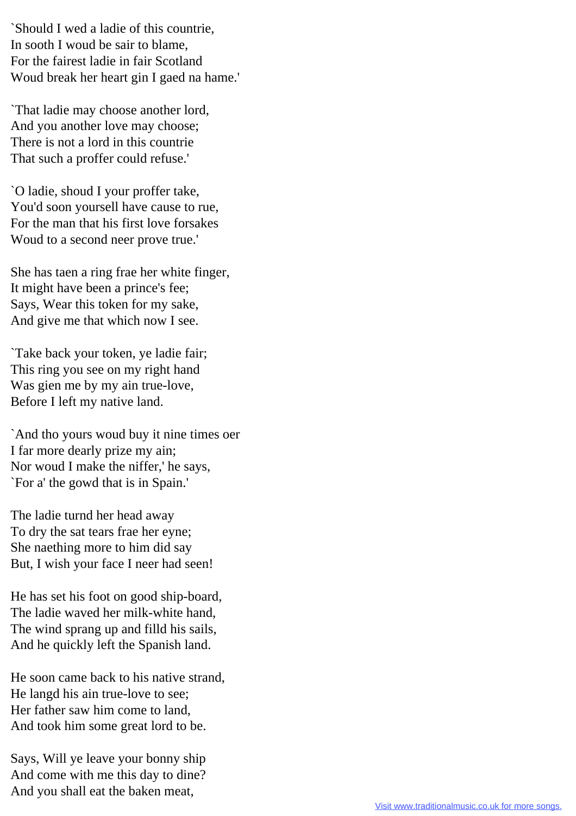`Should I wed a ladie of this countrie, In sooth I woud be sair to blame, For the fairest ladie in fair Scotland Woud break her heart gin I gaed na hame.'

`That ladie may choose another lord, And you another love may choose; There is not a lord in this countrie That such a proffer could refuse.'

`O ladie, shoud I your proffer take, You'd soon yoursell have cause to rue, For the man that his first love forsakes Woud to a second neer prove true.'

She has taen a ring frae her white finger, It might have been a prince's fee; Says, Wear this token for my sake, And give me that which now I see.

`Take back your token, ye ladie fair; This ring you see on my right hand Was gien me by my ain true-love, Before I left my native land.

`And tho yours woud buy it nine times oer I far more dearly prize my ain; Nor woud I make the niffer,' he says, `For a' the gowd that is in Spain.'

The ladie turnd her head away To dry the sat tears frae her eyne; She naething more to him did say But, I wish your face I neer had seen!

He has set his foot on good ship-board, The ladie waved her milk-white hand, The wind sprang up and filld his sails, And he quickly left the Spanish land.

He soon came back to his native strand, He langd his ain true-love to see; Her father saw him come to land, And took him some great lord to be.

Says, Will ye leave your bonny ship And come with me this day to dine? And you shall eat the baken meat,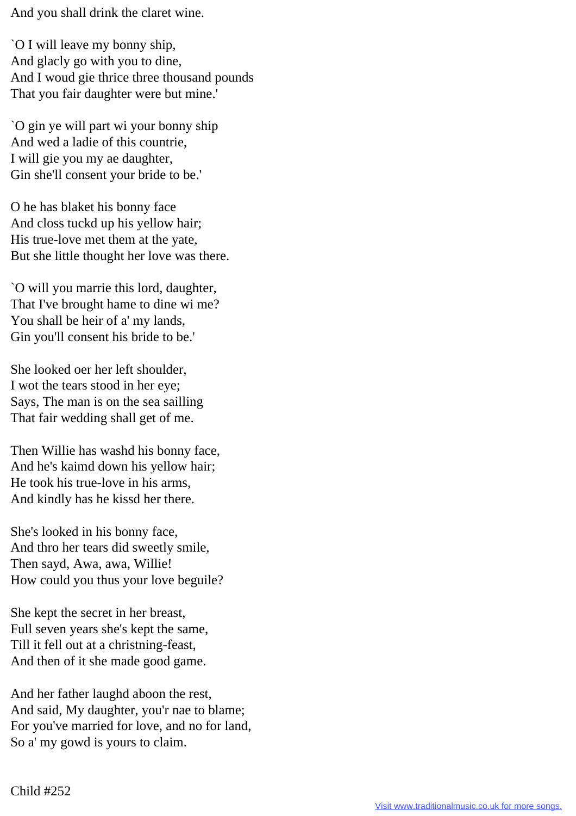And you shall drink the claret wine.

`O I will leave my bonny ship, And glacly go with you to dine, And I woud gie thrice three thousand pounds That you fair daughter were but mine.'

`O gin ye will part wi your bonny ship And wed a ladie of this countrie, I will gie you my ae daughter, Gin she'll consent your bride to be.'

O he has blaket his bonny face And closs tuckd up his yellow hair; His true-love met them at the yate, But she little thought her love was there.

`O will you marrie this lord, daughter, That I've brought hame to dine wi me? You shall be heir of a' my lands, Gin you'll consent his bride to be.'

She looked oer her left shoulder, I wot the tears stood in her eye; Says, The man is on the sea sailling That fair wedding shall get of me.

Then Willie has washd his bonny face, And he's kaimd down his yellow hair; He took his true-love in his arms, And kindly has he kissd her there.

She's looked in his bonny face, And thro her tears did sweetly smile, Then sayd, Awa, awa, Willie! How could you thus your love beguile?

She kept the secret in her breast, Full seven years she's kept the same, Till it fell out at a christning-feast, And then of it she made good game.

And her father laughd aboon the rest, And said, My daughter, you'r nae to blame; For you've married for love, and no for land, So a' my gowd is yours to claim.